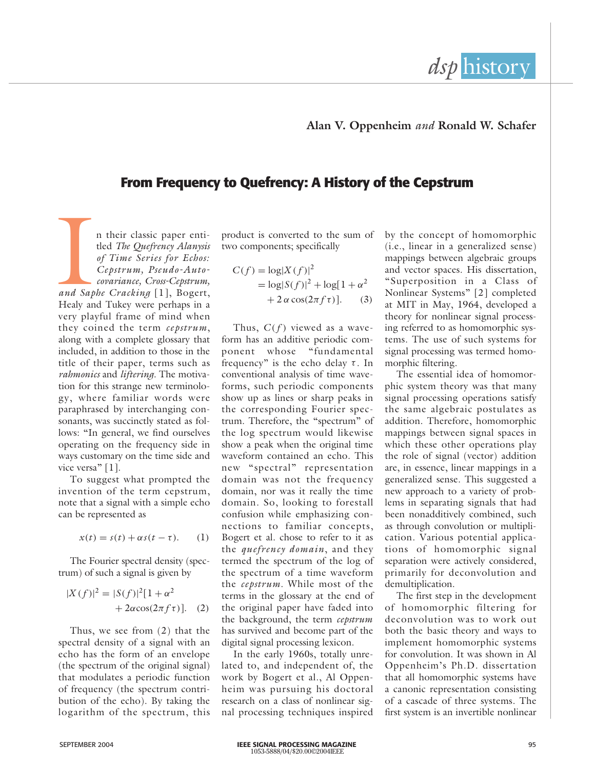

#### **Alan V. Oppenheim** *and* **Ronald W. Schafer**

### **From Frequency to Quefrency: A History of the Cepstrum**

n their classic paper entitled *The Quefrency Alanysis of Time Series for Echos: Cepstrum, Pseudo-Autocovariance, Cross-Cepstrum, and Saphe Cracking* [1], Bogert, Healy and Tukey were perhaps in a very playful frame of mind when they coined the term *cepstrum*, along with a complete glossary that included, in addition to those in the title of their paper, terms such as *rahmonics* and *liftering*. The motivation for this strange new terminology, where familiar words were paraphrased by interchanging consonants, was succinctly stated as follows: "In general, we find ourselves operating on the frequency side in ways customary on the time side and vice versa" [1]. and Sate

To suggest what prompted the invention of the term cepstrum, note that a signal with a simple echo can be represented as

 $x(t) = s(t) + \alpha s(t - \tau)$ . (1)

The Fourier spectral density (spectrum) of such a signal is given by

$$
|X(f)|^2 = |S(f)|^2 [1 + \alpha^2 + 2\alpha \cos(2\pi f \tau)].
$$
 (2)

Thus, we see from (2) that the spectral density of a signal with an echo has the form of an envelope (the spectrum of the original signal) that modulates a periodic function of frequency (the spectrum contribution of the echo). By taking the logarithm of the spectrum, this

product is converted to the sum of two components; specifically

$$
C(f) = \log|X(f)|^2
$$
  
= 
$$
\log|S(f)|^2 + \log[1 + \alpha^2
$$
  
+ 
$$
2 \alpha \cos(2\pi f \tau)].
$$
 (3)

Thus,  $C(f)$  viewed as a waveform has an additive periodic component whose "fundamental frequency" is the echo delay  $\tau$ . In conventional analysis of time waveforms, such periodic components show up as lines or sharp peaks in the corresponding Fourier spectrum. Therefore, the "spectrum" of the log spectrum would likewise show a peak when the original time waveform contained an echo. This new "spectral" representation domain was not the frequency domain, nor was it really the time domain. So, looking to forestall confusion while emphasizing connections to familiar concepts, Bogert et al. chose to refer to it as the *quefrency domain*, and they termed the spectrum of the log of the spectrum of a time waveform the *cepstrum*. While most of the terms in the glossary at the end of the original paper have faded into the background, the term *cepstrum* has survived and become part of the digital signal processing lexicon.

In the early 1960s, totally unrelated to, and independent of, the work by Bogert et al., Al Oppenheim was pursuing his doctoral research on a class of nonlinear signal processing techniques inspired by the concept of homomorphic (i.e., linear in a generalized sense) mappings between algebraic groups and vector spaces. His dissertation, "Superposition in a Class of Nonlinear Systems" [2] completed at MIT in May, 1964, developed a theory for nonlinear signal processing referred to as homomorphic systems. The use of such systems for signal processing was termed homomorphic filtering.

The essential idea of homomorphic system theory was that many signal processing operations satisfy the same algebraic postulates as addition. Therefore, homomorphic mappings between signal spaces in which these other operations play the role of signal (vector) addition are, in essence, linear mappings in a generalized sense. This suggested a new approach to a variety of problems in separating signals that had been nonadditively combined, such as through convolution or multiplication. Various potential applications of homomorphic signal separation were actively considered, primarily for deconvolution and demultiplication.

The first step in the development of homomorphic filtering for deconvolution was to work out both the basic theory and ways to implement homomorphic systems for convolution. It was shown in Al Oppenheim's Ph.D. dissertation that all homomorphic systems have a canonic representation consisting of a cascade of three systems. The first system is an invertible nonlinear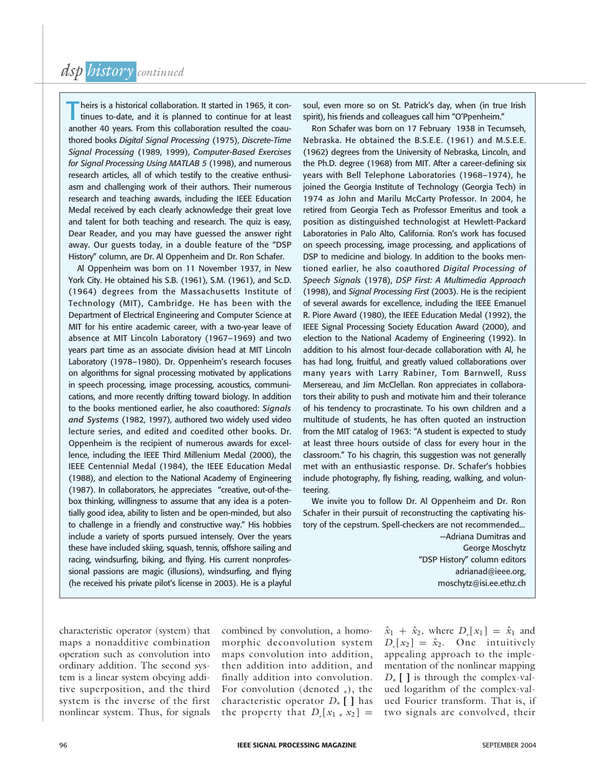heirs is a historical collaboration. It started in 1965, it continues to-date, and it is planned to continue for at least Theirs is a historical collaboration. It started in 1965, it continues to-date, and it is planned to continue for at least another 40 years. From this collaboration resulted the coauthored books *Digital Signal Processing* (1975), *Discrete-Time Signal Processing* (1989, 1999), *Computer-Based Exercises for Signal Processing Using MATLAB 5* (1998), and numerous research articles, all of which testify to the creative enthusiasm and challenging work of their authors. Their numerous research and teaching awards, including the IEEE Education Medal received by each clearly acknowledge their great love and talent for both teaching and research. The quiz is easy, Dear Reader, and you may have guessed the answer right away. Our guests today, in a double feature of the "DSP History" column, are Dr. Al Oppenheim and Dr. Ron Schafer.

Al Oppenheim was born on 11 November 1937, in New York City. He obtained his S.B. (1961), S.M. (1961), and Sc.D. (1964) degrees from the Massachusetts Institute of Technology (MIT), Cambridge. He has been with the Department of Electrical Engineering and Computer Science at MIT for his entire academic career, with a two-year leave of absence at MIT Lincoln Laboratory (1967–1969) and two years part time as an associate division head at MIT Lincoln Laboratory (1978–1980). Dr. Oppenheim's research focuses on algorithms for signal processing motivated by applications in speech processing, image processing, acoustics, communications, and more recently drifting toward biology. In addition to the books mentioned earlier, he also coauthored: *Signals Signals and Systems and Systems*(1982, 1997), authored two widely used video lecture series, and edited and coedited other books. Dr. Oppenheim is the recipient of numerous awards for excellence, including the IEEE Third Millenium Medal (2000), the IEEE Centennial Medal (1984), the IEEE Education Medal (1988), and election to the National Academy of Engineering (1987). In collaborators, he appreciates "creative, out-of-thebox thinking, willingness to assume that any idea is a potentially good idea, ability to listen and be open-minded, but also to challenge in a friendly and constructive way." His hobbies include a variety of sports pursued intensely. Over the years these have included skiing, squash, tennis, offshore sailing and racing, windsurfing, biking, and flying. His current nonprofessional passions are magic (illusions), windsurfing, and flying (he received his private pilot's license in 2003). He is a playful

soul, even more so on St. Patrick's day, when (in true Irish spirit), his friends and colleagues call him "O'Ppenheim."

Ron Schafer was born on 17 February 1938 in Tecumseh, Nebraska. He obtained the B.S.E.E. (1961) and M.S.E.E. (1962) degrees from the University of Nebraska, Lincoln, and the Ph.D. degree (1968) from MIT. After a career-defining six years with Bell Telephone Laboratories (1968–1974), he joined the Georgia Institute of Technology (Georgia Tech) in 1974 as John and Marilu McCarty Professor. In 2004, he retired from Georgia Tech as Professor Emeritus and took a position as distinguished technologist at Hewlett-Packard Laboratories in Palo Alto, California. Ron's work has focused on speech processing, image processing, and applications of DSP to medicine and biology. In addition to the books mentioned earlier, he also coauthored *Digital Processing of Speech Signals* (1978), *DSP First: A Multimedia Approach* (1998), and *Signal Processing First* (2003). He is the recipient of several awards for excellence, including the IEEE Emanuel R. Piore Award (1980), the IEEE Education Medal (1992), the IEEE Signal Processing Society Education Award (2000), and election to the National Academy of Engineering (1992). In addition to his almost four-decade collaboration with Al, he has had long, fruitful, and greatly valued collaborations over many years with Larry Rabiner, Tom Barnwell, Russ Mersereau, and Jim McClellan. Ron appreciates in collaborators their ability to push and motivate him and their tolerance of his tendency to procrastinate. To his own children and a multitude of students, he has often quoted an instruction from the MIT catalog of 1963: "A student is expected to study at least three hours outside of class for every hour in the classroom." To his chagrin, this suggestion was not generally met with an enthusiastic response. Dr. Schafer's hobbies include photography, fly fishing, reading, walking, and volunteering.

We invite you to follow Dr. Al Oppenheim and Dr. Ron Schafer in their pursuit of reconstructing the captivating history of the cepstrum. Spell-checkers are not recommended...

> —Adriana Dumitras and George Moschytz "DSP History" column editors adrianad@ieee.org, moschytz@isi.ee.ethz.ch

characteristic operator (system) that maps a nonadditive combination operation such as convolution into ordinary addition. The second system is a linear system obeying additive superposition, and the third system is the inverse of the first nonlinear system. Thus, for signals

combined by convolution, a homomorphic deconvolution system maps convolution into addition, then addition into addition, and finally addition into convolution. For convolution (denoted  $*$ ), the characteristic operator *D*<sup>∗</sup> [ ] has the property that  $D_{\ast}[x_1, x_2] =$ 

 $\hat{x}_1 + \hat{x}_2$ , where  $D_{*}[x_1] = \hat{x}_1$  and  $D_{\ast}[x_2] = \hat{x}_2$ . One intuitively appealing approach to the implementation of the nonlinear mapping *D*<sup>∗</sup> [ ] is through the complex-valued logarithm of the complex-valued Fourier transform. That is, if two signals are convolved, their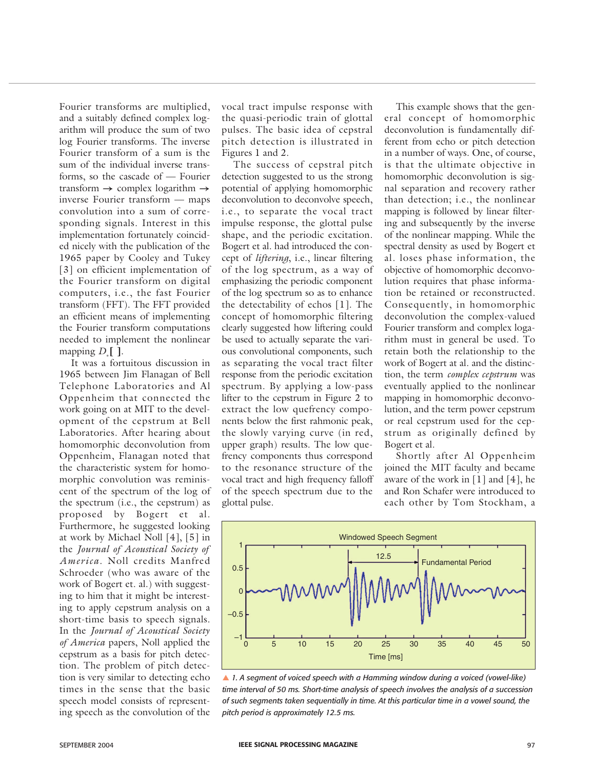Fourier transforms are multiplied, and a suitably defined complex logarithm will produce the sum of two log Fourier transforms. The inverse Fourier transform of a sum is the sum of the individual inverse transforms, so the cascade of — Fourier transform  $\rightarrow$  complex logarithm  $\rightarrow$ inverse Fourier transform — maps convolution into a sum of corresponding signals. Interest in this implementation fortunately coincided nicely with the publication of the 1965 paper by Cooley and Tukey [3] on efficient implementation of the Fourier transform on digital computers, i.e., the fast Fourier transform (FFT). The FFT provided an efficient means of implementing the Fourier transform computations needed to implement the nonlinear mapping  $D_{\ast}$  [ ].

It was a fortuitous discussion in 1965 between Jim Flanagan of Bell Telephone Laboratories and Al Oppenheim that connected the work going on at MIT to the development of the cepstrum at Bell Laboratories. After hearing about homomorphic deconvolution from Oppenheim, Flanagan noted that the characteristic system for homomorphic convolution was reminiscent of the spectrum of the log of the spectrum (i.e., the cepstrum) as proposed by Bogert et al. Furthermore, he suggested looking at work by Michael Noll [4], [5] in the *Journal of Acoustical Society of America*. Noll credits Manfred Schroeder (who was aware of the work of Bogert et. al.) with suggesting to him that it might be interesting to apply cepstrum analysis on a short-time basis to speech signals. In the *Journal of Acoustical Society of America* papers, Noll applied the cepstrum as a basis for pitch detection. The problem of pitch detection is very similar to detecting echo times in the sense that the basic speech model consists of representing speech as the convolution of the

vocal tract impulse response with the quasi-periodic train of glottal pulses. The basic idea of cepstral pitch detection is illustrated in Figures 1 and 2.

The success of cepstral pitch detection suggested to us the strong potential of applying homomorphic deconvolution to deconvolve speech, i.e., to separate the vocal tract impulse response, the glottal pulse shape, and the periodic excitation. Bogert et al. had introduced the concept of *liftering*, i.e., linear filtering of the log spectrum, as a way of emphasizing the periodic component of the log spectrum so as to enhance the detectability of echos [1]. The concept of homomorphic filtering clearly suggested how liftering could be used to actually separate the various convolutional components, such as separating the vocal tract filter response from the periodic excitation spectrum. By applying a low-pass lifter to the cepstrum in Figure 2 to extract the low quefrency components below the first rahmonic peak, the slowly varying curve (in red, upper graph) results. The low quefrency components thus correspond to the resonance structure of the vocal tract and high frequency falloff of the speech spectrum due to the glottal pulse.

This example shows that the general concept of homomorphic deconvolution is fundamentally different from echo or pitch detection in a number of ways. One, of course, is that the ultimate objective in homomorphic deconvolution is signal separation and recovery rather than detection; i.e., the nonlinear mapping is followed by linear filtering and subsequently by the inverse of the nonlinear mapping. While the spectral density as used by Bogert et al. loses phase information, the objective of homomorphic deconvolution requires that phase information be retained or reconstructed. Consequently, in homomorphic deconvolution the complex-valued Fourier transform and complex logarithm must in general be used. To retain both the relationship to the work of Bogert at al. and the distinction, the term *complex cepstrum* was eventually applied to the nonlinear mapping in homomorphic deconvolution, and the term power cepstrum or real cepstrum used for the cepstrum as originally defined by Bogert et al.

Shortly after Al Oppenheim joined the MIT faculty and became aware of the work in  $[1]$  and  $[4]$ , he and Ron Schafer were introduced to each other by Tom Stockham, a



▲ *1. A segment of voiced speech with a Hamming window during a voiced (vowel-like) time interval of 50 ms. Short-time analysis of speech involves the analysis of a succession of such segments taken sequentially in time. At this particular time in a vowel sound, the pitch period is approximately 12.5 ms.*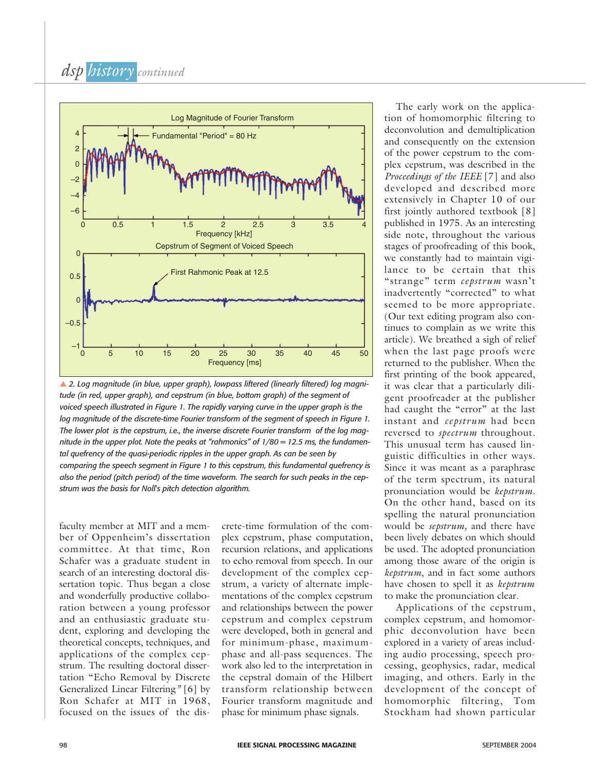*dsp history continued* 



▲ 2. Log magnitude (in blue, upper graph), lowpass liftered (linearly filtered) log magni*tude (in red, upper graph), and cepstrum (in blue, bottom graph) of the segment of voiced speech illustrated in Figure 1. The rapidly varying curve in the upper graph is the log magnitude of the discrete-time Fourier transform of the segment of speech in Figure 1. The lower plot is the cepstrum, i.e., the inverse discrete Fourier transform of the log magnitude in the upper plot. Note the peaks at "rahmonics" of 1/80 = 12.5 ms, the fundamental quefrency of the quasi-periodic ripples in the upper graph. As can be seen by comparing the speech segment in Figure 1 to this cepstrum, this fundamental quefrency is also the period (pitch period) of the time waveform. The search for such peaks in the cepstrum was the basis for Noll's pitch detection algorithm.*

faculty member at MIT and a member of Oppenheim's dissertation committee. At that time, Ron Schafer was a graduate student in search of an interesting doctoral dissertation topic. Thus began a close and wonderfully productive collaboration between a young professor and an enthusiastic graduate student, exploring and developing the theoretical concepts, techniques, and applications of the complex cepstrum. The resulting doctoral dissertation "Echo Removal by Discrete Generalized Linear Filtering*"* [6] by Ron Schafer at MIT in 1968, focused on the issues of the discrete-time formulation of the complex cepstrum, phase computation, recursion relations, and applications to echo removal from speech. In our development of the complex cepstrum, a variety of alternate implementations of the complex cepstrum and relationships between the power cepstrum and complex cepstrum were developed, both in general and for minimum-phase, maximumphase and all-pass sequences. The work also led to the interpretation in the cepstral domain of the Hilbert transform relationship between Fourier transform magnitude and phase for minimum phase signals.

The early work on the application of homomorphic filtering to deconvolution and demultiplication and consequently on the extension of the power cepstrum to the complex cepstrum, was described in the *Proceedings of the IEEE* [7] and also developed and described more extensively in Chapter 10 of our first jointly authored textbook [8] published in 1975. As an interesting side note, throughout the various stages of proofreading of this book, we constantly had to maintain vigilance to be certain that this "strange" term *cepstrum* wasn't inadvertently "corrected" to what seemed to be more appropriate. (Our text editing program also continues to complain as we write this article). We breathed a sigh of relief when the last page proofs were returned to the publisher. When the first printing of the book appeared, it was clear that a particularly diligent proofreader at the publisher had caught the "error" at the last instant and *cepstrum* had been reversed to *spectrum* throughout. This unusual term has caused linguistic difficulties in other ways. Since it was meant as a paraphrase of the term spectrum, its natural pronunciation would be *kepstrum*. On the other hand, based on its spelling the natural pronunciation would be *sepstrum,* and there have been lively debates on which should be used. The adopted pronunciation among those aware of the origin is *kepstrum*, and in fact some authors have chosen to spell it as *kepstrum* to make the pronunciation clear.

Applications of the cepstrum, complex cepstrum, and homomorphic deconvolution have been explored in a variety of areas including audio processing, speech processing, geophysics, radar, medical imaging, and others. Early in the development of the concept of homomorphic filtering, Tom Stockham had shown particular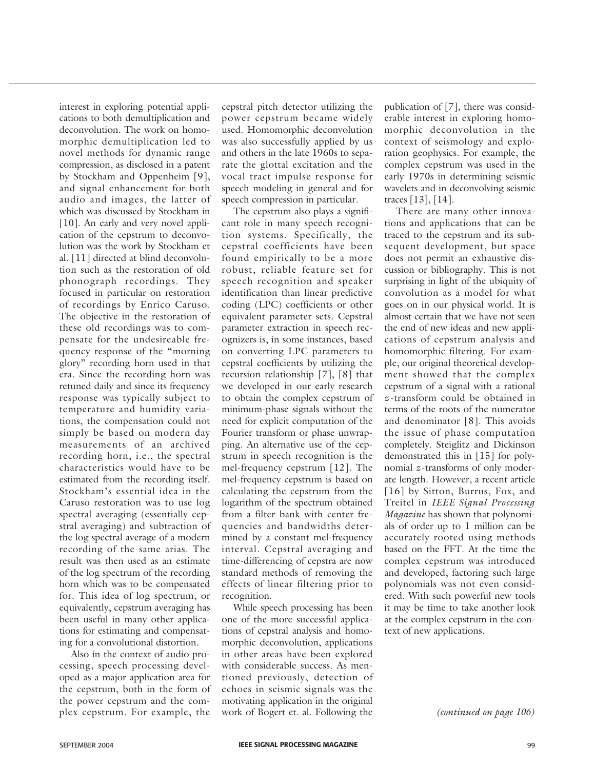interest in exploring potential applications to both demultiplication and deconvolution. The work on homomorphic demultiplication led to novel methods for dynamic range compression, as disclosed in a patent by Stockham and Oppenheim [9], and signal enhancement for both audio and images, the latter of which was discussed by Stockham in [10]. An early and very novel application of the cepstrum to deconvolution was the work by Stockham et al. [11] directed at blind deconvolution such as the restoration of old phonograph recordings. They focused in particular on restoration of recordings by Enrico Caruso. The objective in the restoration of these old recordings was to compensate for the undesireable frequency response of the "morning glory" recording horn used in that era. Since the recording horn was retuned daily and since its frequency response was typically subject to temperature and humidity variations, the compensation could not simply be based on modern day measurements of an archived recording horn, i.e., the spectral characteristics would have to be estimated from the recording itself. Stockham's essential idea in the Caruso restoration was to use log spectral averaging (essentially cepstral averaging) and subtraction of the log spectral average of a modern recording of the same arias. The result was then used as an estimate of the log spectrum of the recording horn which was to be compensated for. This idea of log spectrum, or equivalently, cepstrum averaging has been useful in many other applications for estimating and compensating for a convolutional distortion.

Also in the context of audio processing, speech processing developed as a major application area for the cepstrum, both in the form of the power cepstrum and the complex cepstrum. For example, the

cepstral pitch detector utilizing the power cepstrum became widely used. Homomorphic deconvolution was also successfully applied by us and others in the late 1960s to separate the glottal excitation and the vocal tract impulse response for speech modeling in general and for speech compression in particular.

The cepstrum also plays a significant role in many speech recognition systems. Specifically, the cepstral coefficients have been found empirically to be a more robust, reliable feature set for speech recognition and speaker identification than linear predictive coding (LPC) coefficients or other equivalent parameter sets. Cepstral parameter extraction in speech recognizers is, in some instances, based on converting LPC parameters to cepstral coefficients by utilizing the recursion relationship [7], [8] that we developed in our early research to obtain the complex cepstrum of minimum-phase signals without the need for explicit computation of the Fourier transform or phase unwrapping. An alternative use of the cepstrum in speech recognition is the mel-frequency cepstrum [12]. The mel-frequency cepstrum is based on calculating the cepstrum from the logarithm of the spectrum obtained from a filter bank with center frequencies and bandwidths determined by a constant mel-frequency interval. Cepstral averaging and time-differencing of cepstra are now standard methods of removing the effects of linear filtering prior to recognition.

While speech processing has been one of the more successful applications of cepstral analysis and homomorphic deconvolution, applications in other areas have been explored with considerable success. As mentioned previously, detection of echoes in seismic signals was the motivating application in the original work of Bogert et. al. Following the

publication of [7], there was considerable interest in exploring homomorphic deconvolution in the context of seismology and exploration geophysics. For example, the complex cepstrum was used in the early 1970s in determining seismic wavelets and in deconvolving seismic traces [13], [14].

There are many other innovations and applications that can be traced to the cepstrum and its subsequent development, but space does not permit an exhaustive discussion or bibliography. This is not surprising in light of the ubiquity of convolution as a model for what goes on in our physical world. It is almost certain that we have not seen the end of new ideas and new applications of cepstrum analysis and homomorphic filtering. For example, our original theoretical development showed that the complex cepstrum of a signal with a rational *z* -transform could be obtained in terms of the roots of the numerator and denominator [8]. This avoids the issue of phase computation completely. Steiglitz and Dickinson demonstrated this in [15] for polynomial *z* -transforms of only moderate length. However, a recent article [16] by Sitton, Burrus, Fox, and Treitel in *IEEE Signal Processing Magazine* has shown that polynomials of order up to 1 million can be accurately rooted using methods based on the FFT. At the time the complex cepstrum was introduced and developed, factoring such large polynomials was not even considered. With such powerful new tools it may be time to take another look at the complex cepstrum in the context of new applications.

*(continued on page 106)*